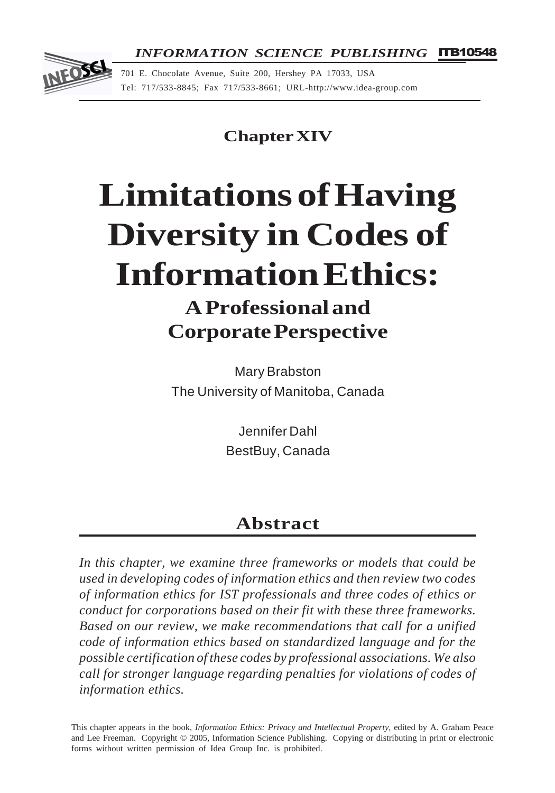*INFORMATION SCIENCE PUBLISHING* **ITB10 ITB10548** 



701 E. Chocolate Avenue, Suite 200, Hershey PA 17033, USA Tel: 717/533-8845; Fax 717/533-8661; URL-http://www.idea-group.com

**Chapter XIV**

# **Limitations of Having Diversity in Codes of Information Ethics: A Professional and**

**Corporate Perspective**

Mary Brabston The University of Manitoba, Canada

> Jennifer Dahl BestBuy, Canada

# **Abstract**

*In this chapter, we examine three frameworks or models that could be used in developing codes of information ethics and then review two codes of information ethics for IST professionals and three codes of ethics or conduct for corporations based on their fit with these three frameworks. Based on our review, we make recommendations that call for a unified code of information ethics based on standardized language and for the possible certification of these codes by professional associations. We also call for stronger language regarding penalties for violations of codes of information ethics.*

In Complete appears in the book, *Information Emics. Frivacy and mienectual Froperty*, edited by A. Granam and Lee Freeman. Copyright © 2005, Information Science Publishing. Copying or distributing in print or electronic This chapter appears in the book, *Information Ethics: Privacy and Intellectual Property,* edited by A. Graham Peace forms without written permission of Idea Group Inc. is prohibited.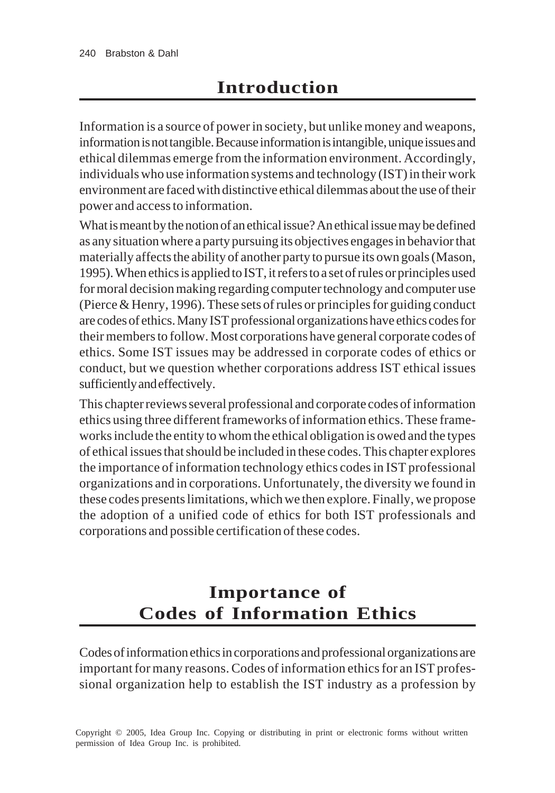Information is a source of power in society, but unlike money and weapons, information is not tangible. Because information is intangible, unique issues and ethical dilemmas emerge from the information environment. Accordingly, individuals who use information systems and technology (IST) in their work environment are faced with distinctive ethical dilemmas about the use of their power and access to information.

What is meant by the notion of an ethical issue? An ethical issue may be defined as any situation where a party pursuing its objectives engages in behavior that materially affects the ability of another party to pursue its own goals (Mason, 1995). When ethics is applied to IST, it refers to a set of rules or principles used for moral decision making regarding computer technology and computer use (Pierce & Henry, 1996). These sets of rules or principles for guiding conduct are codes of ethics. Many IST professional organizations have ethics codes for their members to follow. Most corporations have general corporate codes of ethics. Some IST issues may be addressed in corporate codes of ethics or conduct, but we question whether corporations address IST ethical issues sufficiently and effectively.

This chapter reviews several professional and corporate codes of information ethics using three different frameworks of information ethics. These frameworks include the entity to whom the ethical obligation is owed and the types of ethical issues that should be included in these codes. This chapter explores the importance of information technology ethics codes in IST professional organizations and in corporations. Unfortunately, the diversity we found in these codes presents limitations, which we then explore. Finally, we propose the adoption of a unified code of ethics for both IST professionals and corporations and possible certification of these codes.

# **Importance of Codes of Information Ethics**

Codes of information ethics in corporations and professional organizations are important for many reasons. Codes of information ethics for an IST professional organization help to establish the IST industry as a profession by